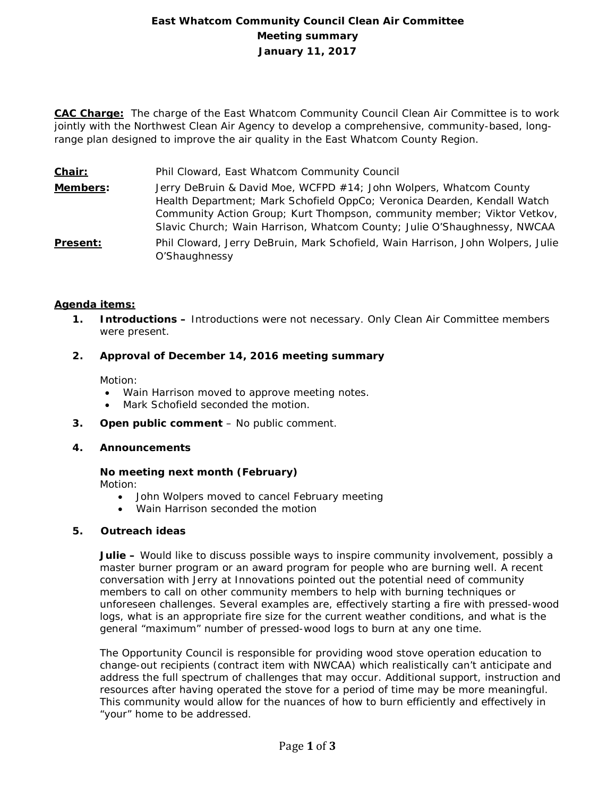# **East Whatcom Community Council Clean Air Committee Meeting summary January 11, 2017**

**CAC Charge:** The charge of the East Whatcom Community Council Clean Air Committee is to work jointly with the Northwest Clean Air Agency to develop a comprehensive, community-based, longrange plan designed to improve the air quality in the East Whatcom County Region.

**Chair:** Phil Cloward, East Whatcom Community Council

**Members:** Jerry DeBruin & David Moe, WCFPD #14; John Wolpers, Whatcom County Health Department; Mark Schofield OppCo; Veronica Dearden, Kendall Watch Community Action Group; Kurt Thompson, community member; Viktor Vetkov, Slavic Church; Wain Harrison, Whatcom County; Julie O'Shaughnessy, NWCAA **Present:** Phil Cloward, Jerry DeBruin, Mark Schofield, Wain Harrison, John Wolpers, Julie O'Shaughnessy

## **Agenda items:**

- **1. Introductions –** Introductions were not necessary. Only Clean Air Committee members were present.
- **2. Approval of December 14, 2016 meeting summary**

Motion:

- Wain Harrison moved to approve meeting notes.
- Mark Schofield seconded the motion.
- **3. Open public comment**  No public comment.
- **4. Announcements**

# **No meeting next month (February)**

Motion:

- John Wolpers moved to cancel February meeting
- Wain Harrison seconded the motion

### **5. Outreach ideas**

**Julie –** Would like to discuss possible ways to inspire community involvement, possibly a master burner program or an award program for people who are burning well. A recent conversation with Jerry at Innovations pointed out the potential need of community members to call on other community members to help with burning techniques or unforeseen challenges. Several examples are, effectively starting a fire with pressed-wood logs, what is an appropriate fire size for the current weather conditions, and what is the general "maximum" number of pressed-wood logs to burn at any one time.

The Opportunity Council is responsible for providing wood stove operation education to change-out recipients (contract item with NWCAA) which realistically can't anticipate and address the full spectrum of challenges that may occur. Additional support, instruction and resources after having operated the stove for a period of time may be more meaningful. This community would allow for the nuances of how to burn efficiently and effectively in "your" home to be addressed.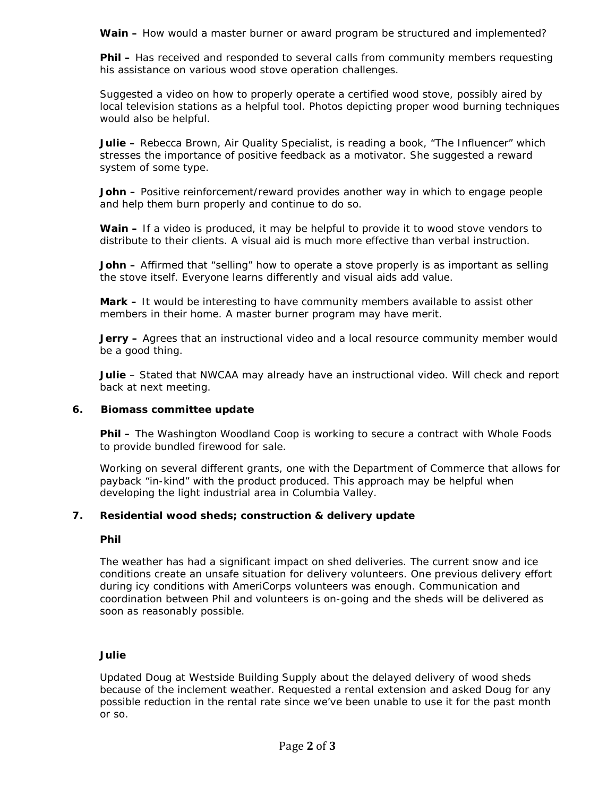**Wain –** How would a master burner or award program be structured and implemented?

**Phil –** Has received and responded to several calls from community members requesting his assistance on various wood stove operation challenges.

Suggested a video on how to properly operate a certified wood stove, possibly aired by local television stations as a helpful tool. Photos depicting proper wood burning techniques would also be helpful.

**Julie –** Rebecca Brown, Air Quality Specialist, is reading a book, "The Influencer" which stresses the importance of positive feedback as a motivator. She suggested a reward system of some type.

**John –** Positive reinforcement/reward provides another way in which to engage people and help them burn properly and continue to do so.

**Wain –** If a video is produced, it may be helpful to provide it to wood stove vendors to distribute to their clients. A visual aid is much more effective than verbal instruction.

**John –** Affirmed that "selling" how to operate a stove properly is as important as selling the stove itself. Everyone learns differently and visual aids add value.

**Mark –** It would be interesting to have community members available to assist other members in their home. A master burner program may have merit.

**Jerry –** Agrees that an instructional video and a local resource community member would be a good thing.

**Julie** – Stated that NWCAA may already have an instructional video. Will check and report back at next meeting.

### **6. Biomass committee update**

**Phil –** The Washington Woodland Coop is working to secure a contract with Whole Foods to provide bundled firewood for sale.

Working on several different grants, one with the Department of Commerce that allows for payback "in-kind" with the product produced. This approach may be helpful when developing the light industrial area in Columbia Valley.

### **7. Residential wood sheds; construction & delivery update**

#### **Phil**

The weather has had a significant impact on shed deliveries. The current snow and ice conditions create an unsafe situation for delivery volunteers. One previous delivery effort during icy conditions with AmeriCorps volunteers was enough. Communication and coordination between Phil and volunteers is on-going and the sheds will be delivered as soon as reasonably possible.

#### **Julie**

Updated Doug at Westside Building Supply about the delayed delivery of wood sheds because of the inclement weather. Requested a rental extension and asked Doug for any possible reduction in the rental rate since we've been unable to use it for the past month or so.